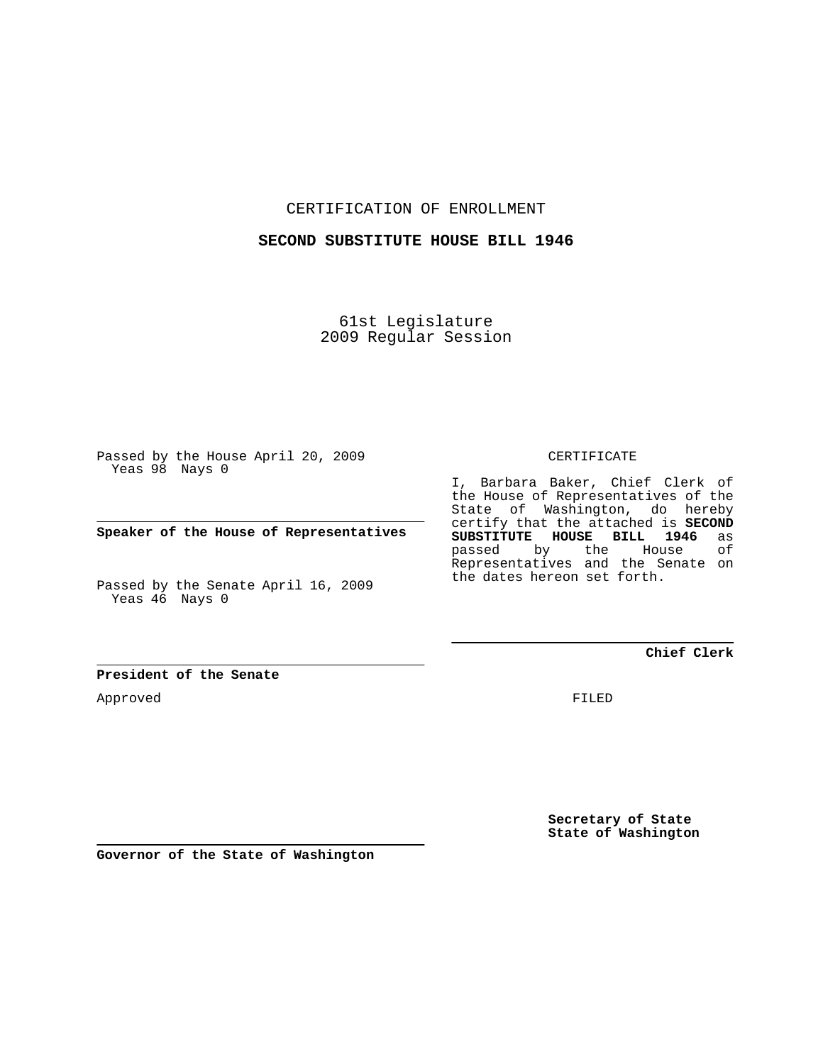CERTIFICATION OF ENROLLMENT

#### **SECOND SUBSTITUTE HOUSE BILL 1946**

61st Legislature 2009 Regular Session

Passed by the House April 20, 2009 Yeas 98 Nays 0

**Speaker of the House of Representatives**

Passed by the Senate April 16, 2009 Yeas 46 Nays 0

## **President of the Senate**

Approved

CERTIFICATE

I, Barbara Baker, Chief Clerk of the House of Representatives of the State of Washington, do hereby certify that the attached is **SECOND SUBSTITUTE HOUSE BILL 1946** as **House** Representatives and the Senate on the dates hereon set forth.

**Chief Clerk**

FILED

**Secretary of State State of Washington**

**Governor of the State of Washington**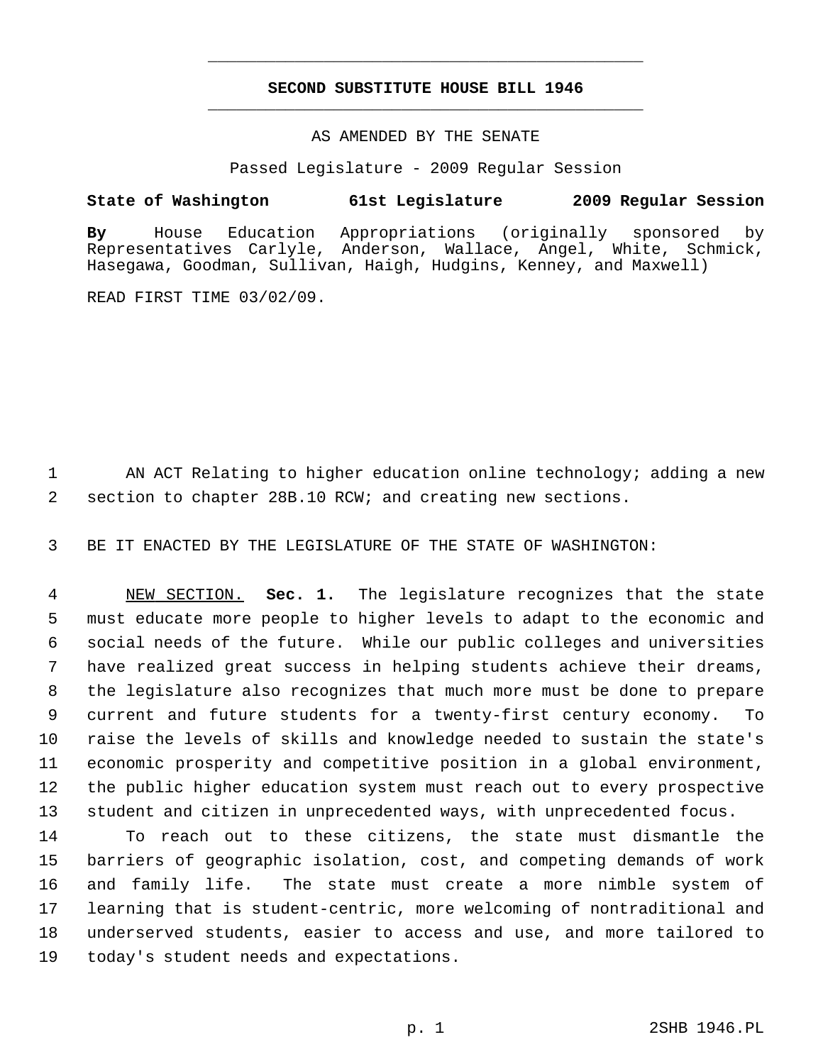# **SECOND SUBSTITUTE HOUSE BILL 1946** \_\_\_\_\_\_\_\_\_\_\_\_\_\_\_\_\_\_\_\_\_\_\_\_\_\_\_\_\_\_\_\_\_\_\_\_\_\_\_\_\_\_\_\_\_

\_\_\_\_\_\_\_\_\_\_\_\_\_\_\_\_\_\_\_\_\_\_\_\_\_\_\_\_\_\_\_\_\_\_\_\_\_\_\_\_\_\_\_\_\_

### AS AMENDED BY THE SENATE

Passed Legislature - 2009 Regular Session

### **State of Washington 61st Legislature 2009 Regular Session**

**By** House Education Appropriations (originally sponsored by Representatives Carlyle, Anderson, Wallace, Angel, White, Schmick, Hasegawa, Goodman, Sullivan, Haigh, Hudgins, Kenney, and Maxwell)

READ FIRST TIME 03/02/09.

1 AN ACT Relating to higher education online technology; adding a new 2 section to chapter 28B.10 RCW; and creating new sections.

3 BE IT ENACTED BY THE LEGISLATURE OF THE STATE OF WASHINGTON:

 4 NEW SECTION. **Sec. 1.** The legislature recognizes that the state 5 must educate more people to higher levels to adapt to the economic and 6 social needs of the future. While our public colleges and universities 7 have realized great success in helping students achieve their dreams, 8 the legislature also recognizes that much more must be done to prepare 9 current and future students for a twenty-first century economy. To 10 raise the levels of skills and knowledge needed to sustain the state's 11 economic prosperity and competitive position in a global environment, 12 the public higher education system must reach out to every prospective 13 student and citizen in unprecedented ways, with unprecedented focus.

14 To reach out to these citizens, the state must dismantle the 15 barriers of geographic isolation, cost, and competing demands of work 16 and family life. The state must create a more nimble system of 17 learning that is student-centric, more welcoming of nontraditional and 18 underserved students, easier to access and use, and more tailored to 19 today's student needs and expectations.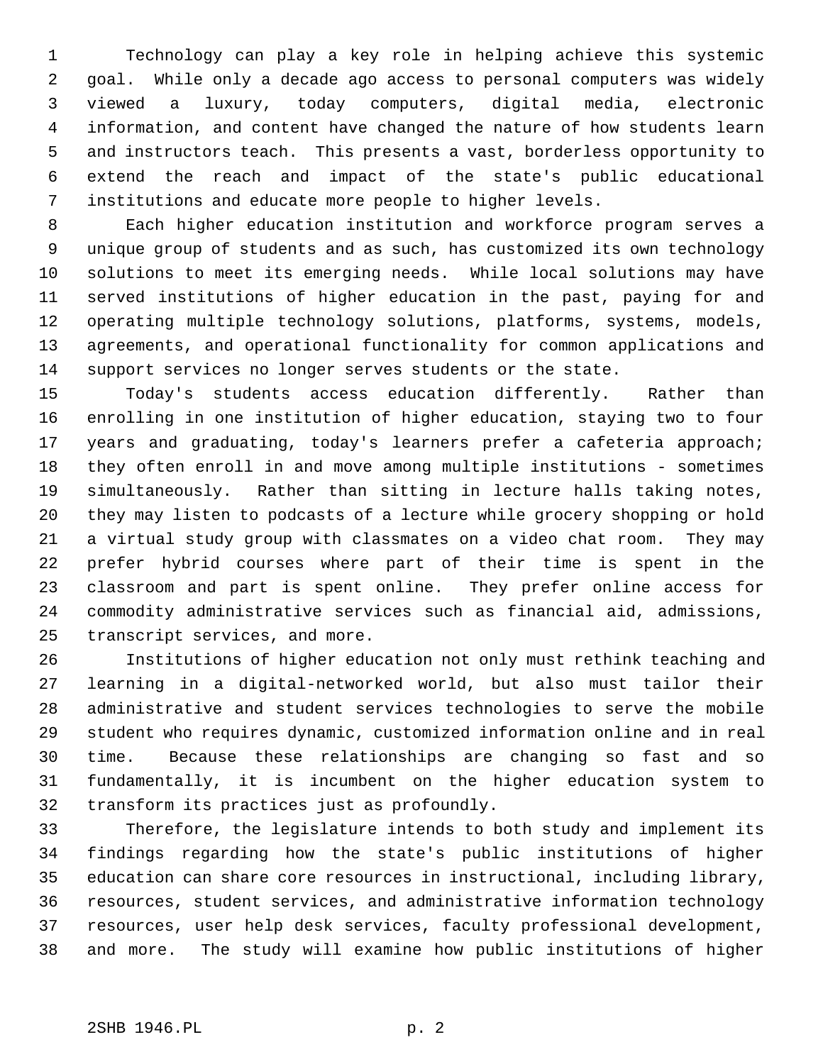1 Technology can play a key role in helping achieve this systemic 2 goal. While only a decade ago access to personal computers was widely 3 viewed a luxury, today computers, digital media, electronic 4 information, and content have changed the nature of how students learn 5 and instructors teach. This presents a vast, borderless opportunity to 6 extend the reach and impact of the state's public educational 7 institutions and educate more people to higher levels.

 8 Each higher education institution and workforce program serves a 9 unique group of students and as such, has customized its own technology 10 solutions to meet its emerging needs. While local solutions may have 11 served institutions of higher education in the past, paying for and 12 operating multiple technology solutions, platforms, systems, models, 13 agreements, and operational functionality for common applications and 14 support services no longer serves students or the state.

15 Today's students access education differently. Rather than 16 enrolling in one institution of higher education, staying two to four 17 years and graduating, today's learners prefer a cafeteria approach; 18 they often enroll in and move among multiple institutions - sometimes 19 simultaneously. Rather than sitting in lecture halls taking notes, 20 they may listen to podcasts of a lecture while grocery shopping or hold 21 a virtual study group with classmates on a video chat room. They may 22 prefer hybrid courses where part of their time is spent in the 23 classroom and part is spent online. They prefer online access for 24 commodity administrative services such as financial aid, admissions, 25 transcript services, and more.

26 Institutions of higher education not only must rethink teaching and 27 learning in a digital-networked world, but also must tailor their 28 administrative and student services technologies to serve the mobile 29 student who requires dynamic, customized information online and in real 30 time. Because these relationships are changing so fast and so 31 fundamentally, it is incumbent on the higher education system to 32 transform its practices just as profoundly.

33 Therefore, the legislature intends to both study and implement its 34 findings regarding how the state's public institutions of higher 35 education can share core resources in instructional, including library, 36 resources, student services, and administrative information technology 37 resources, user help desk services, faculty professional development, 38 and more. The study will examine how public institutions of higher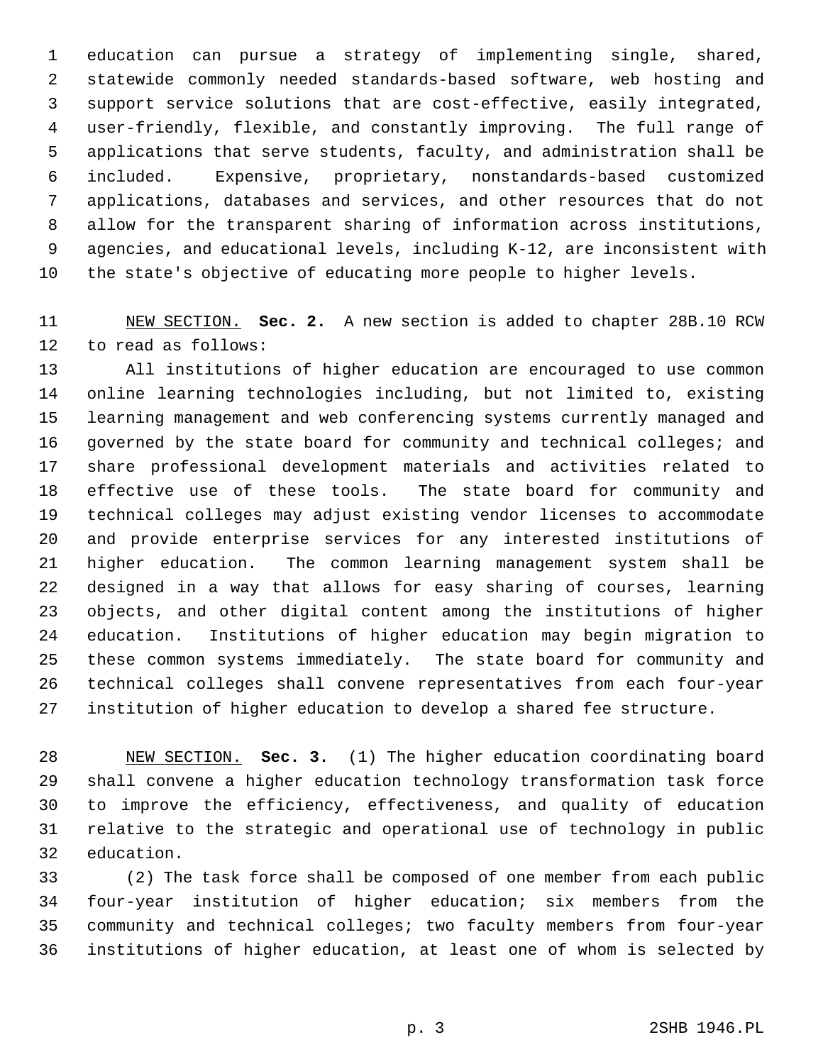1 education can pursue a strategy of implementing single, shared, 2 statewide commonly needed standards-based software, web hosting and 3 support service solutions that are cost-effective, easily integrated, 4 user-friendly, flexible, and constantly improving. The full range of 5 applications that serve students, faculty, and administration shall be 6 included. Expensive, proprietary, nonstandards-based customized 7 applications, databases and services, and other resources that do not 8 allow for the transparent sharing of information across institutions, 9 agencies, and educational levels, including K-12, are inconsistent with 10 the state's objective of educating more people to higher levels.

11 NEW SECTION. **Sec. 2.** A new section is added to chapter 28B.10 RCW 12 to read as follows:

13 All institutions of higher education are encouraged to use common 14 online learning technologies including, but not limited to, existing 15 learning management and web conferencing systems currently managed and 16 governed by the state board for community and technical colleges; and 17 share professional development materials and activities related to 18 effective use of these tools. The state board for community and 19 technical colleges may adjust existing vendor licenses to accommodate 20 and provide enterprise services for any interested institutions of 21 higher education. The common learning management system shall be 22 designed in a way that allows for easy sharing of courses, learning 23 objects, and other digital content among the institutions of higher 24 education. Institutions of higher education may begin migration to 25 these common systems immediately. The state board for community and 26 technical colleges shall convene representatives from each four-year 27 institution of higher education to develop a shared fee structure.

28 NEW SECTION. **Sec. 3.** (1) The higher education coordinating board 29 shall convene a higher education technology transformation task force 30 to improve the efficiency, effectiveness, and quality of education 31 relative to the strategic and operational use of technology in public 32 education.

33 (2) The task force shall be composed of one member from each public 34 four-year institution of higher education; six members from the 35 community and technical colleges; two faculty members from four-year 36 institutions of higher education, at least one of whom is selected by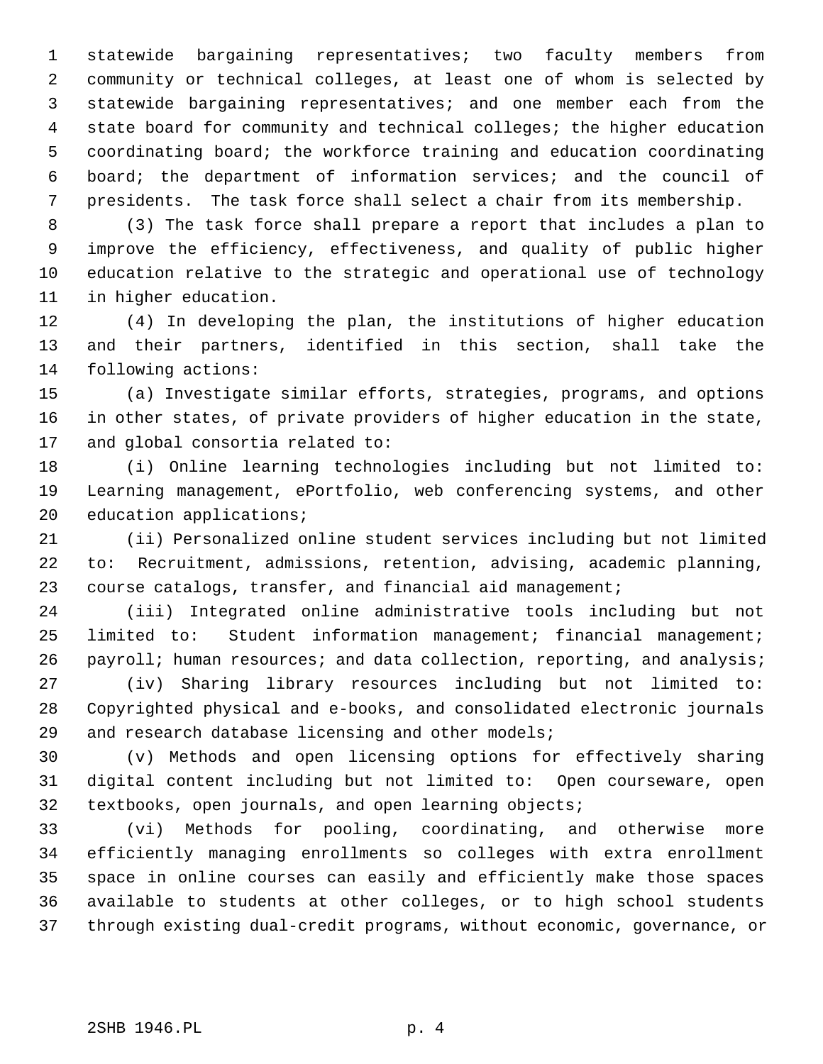1 statewide bargaining representatives; two faculty members from 2 community or technical colleges, at least one of whom is selected by 3 statewide bargaining representatives; and one member each from the 4 state board for community and technical colleges; the higher education 5 coordinating board; the workforce training and education coordinating 6 board; the department of information services; and the council of 7 presidents. The task force shall select a chair from its membership.

 8 (3) The task force shall prepare a report that includes a plan to 9 improve the efficiency, effectiveness, and quality of public higher 10 education relative to the strategic and operational use of technology 11 in higher education.

12 (4) In developing the plan, the institutions of higher education 13 and their partners, identified in this section, shall take the 14 following actions:

15 (a) Investigate similar efforts, strategies, programs, and options 16 in other states, of private providers of higher education in the state, 17 and global consortia related to:

18 (i) Online learning technologies including but not limited to: 19 Learning management, ePortfolio, web conferencing systems, and other 20 education applications;

21 (ii) Personalized online student services including but not limited 22 to: Recruitment, admissions, retention, advising, academic planning, 23 course catalogs, transfer, and financial aid management;

24 (iii) Integrated online administrative tools including but not 25 limited to: Student information management; financial management; 26 payroll; human resources; and data collection, reporting, and analysis;

27 (iv) Sharing library resources including but not limited to: 28 Copyrighted physical and e-books, and consolidated electronic journals 29 and research database licensing and other models;

30 (v) Methods and open licensing options for effectively sharing 31 digital content including but not limited to: Open courseware, open 32 textbooks, open journals, and open learning objects;

33 (vi) Methods for pooling, coordinating, and otherwise more 34 efficiently managing enrollments so colleges with extra enrollment 35 space in online courses can easily and efficiently make those spaces 36 available to students at other colleges, or to high school students 37 through existing dual-credit programs, without economic, governance, or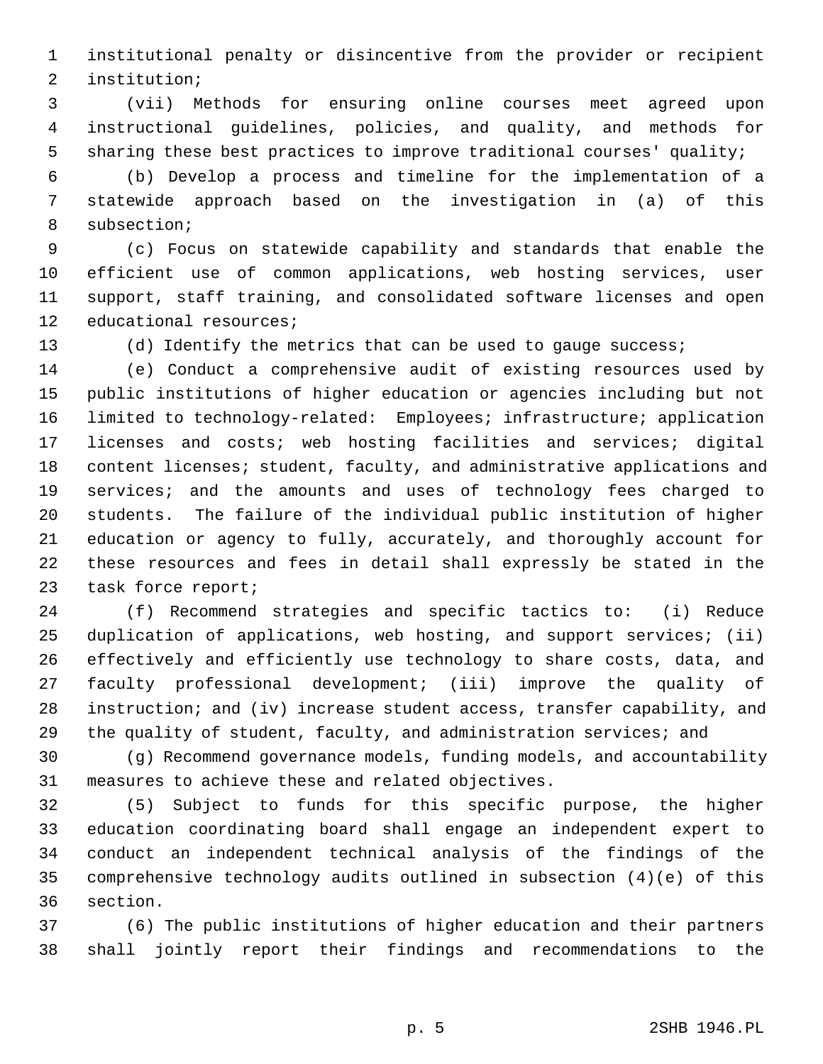1 institutional penalty or disincentive from the provider or recipient 2 institution;

 3 (vii) Methods for ensuring online courses meet agreed upon 4 instructional guidelines, policies, and quality, and methods for 5 sharing these best practices to improve traditional courses' quality;

 6 (b) Develop a process and timeline for the implementation of a 7 statewide approach based on the investigation in (a) of this 8 subsection;

 9 (c) Focus on statewide capability and standards that enable the 10 efficient use of common applications, web hosting services, user 11 support, staff training, and consolidated software licenses and open 12 educational resources;

13 (d) Identify the metrics that can be used to gauge success;

14 (e) Conduct a comprehensive audit of existing resources used by 15 public institutions of higher education or agencies including but not 16 limited to technology-related: Employees; infrastructure; application 17 licenses and costs; web hosting facilities and services; digital 18 content licenses; student, faculty, and administrative applications and 19 services; and the amounts and uses of technology fees charged to 20 students. The failure of the individual public institution of higher 21 education or agency to fully, accurately, and thoroughly account for 22 these resources and fees in detail shall expressly be stated in the 23 task force report;

24 (f) Recommend strategies and specific tactics to: (i) Reduce 25 duplication of applications, web hosting, and support services; (ii) 26 effectively and efficiently use technology to share costs, data, and 27 faculty professional development; (iii) improve the quality of 28 instruction; and (iv) increase student access, transfer capability, and 29 the quality of student, faculty, and administration services; and

30 (g) Recommend governance models, funding models, and accountability 31 measures to achieve these and related objectives.

32 (5) Subject to funds for this specific purpose, the higher 33 education coordinating board shall engage an independent expert to 34 conduct an independent technical analysis of the findings of the 35 comprehensive technology audits outlined in subsection (4)(e) of this 36 section.

37 (6) The public institutions of higher education and their partners 38 shall jointly report their findings and recommendations to the